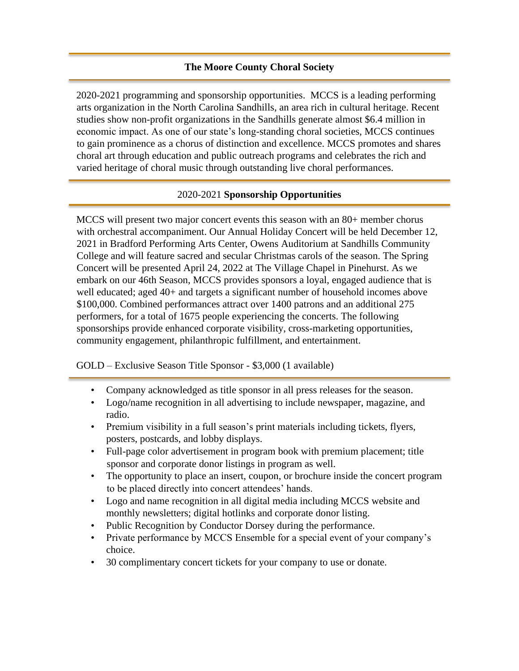## **The Moore County Choral Society**

2020-2021 programming and sponsorship opportunities. MCCS is a leading performing arts organization in the North Carolina Sandhills, an area rich in cultural heritage. Recent studies show non-profit organizations in the Sandhills generate almost \$6.4 million in economic impact. As one of our state's long-standing choral societies, MCCS continues to gain prominence as a chorus of distinction and excellence. MCCS promotes and shares choral art through education and public outreach programs and celebrates the rich and varied heritage of choral music through outstanding live choral performances.

### 2020-2021 **Sponsorship Opportunities**

MCCS will present two major concert events this season with an 80+ member chorus with orchestral accompaniment. Our Annual Holiday Concert will be held December 12, 2021 in Bradford Performing Arts Center, Owens Auditorium at Sandhills Community College and will feature sacred and secular Christmas carols of the season. The Spring Concert will be presented April 24, 2022 at The Village Chapel in Pinehurst. As we embark on our 46th Season, MCCS provides sponsors a loyal, engaged audience that is well educated; aged 40+ and targets a significant number of household incomes above \$100,000. Combined performances attract over 1400 patrons and an additional 275 performers, for a total of 1675 people experiencing the concerts. The following sponsorships provide enhanced corporate visibility, cross-marketing opportunities, community engagement, philanthropic fulfillment, and entertainment.

### GOLD – Exclusive Season Title Sponsor - \$3,000 (1 available)

- Company acknowledged as title sponsor in all press releases for the season.
- Logo/name recognition in all advertising to include newspaper, magazine, and radio.
- Premium visibility in a full season's print materials including tickets, flyers, posters, postcards, and lobby displays.
- Full-page color advertisement in program book with premium placement; title sponsor and corporate donor listings in program as well.
- The opportunity to place an insert, coupon, or brochure inside the concert program to be placed directly into concert attendees' hands.
- Logo and name recognition in all digital media including MCCS website and monthly newsletters; digital hotlinks and corporate donor listing.
- Public Recognition by Conductor Dorsey during the performance.
- Private performance by MCCS Ensemble for a special event of your company's choice.
- 30 complimentary concert tickets for your company to use or donate.